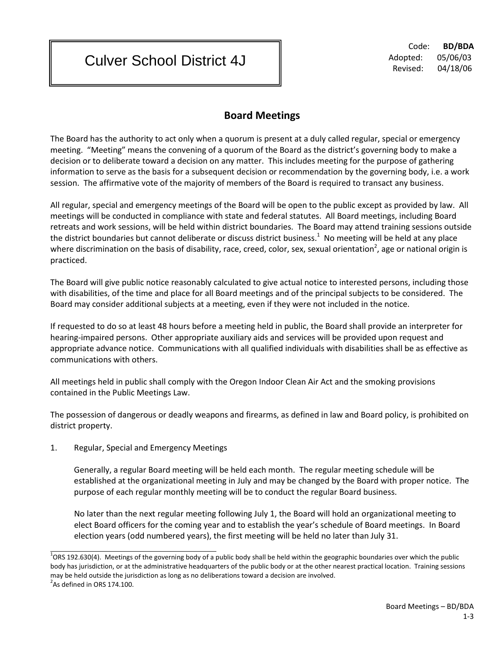Culver School District 4J

 Code: **BD/BDA** Adopted: 05/06/03 Revised: 04/18/06

## **Board Meetings**

The Board has the authority to act only when a quorum is present at a duly called regular, special or emergency meeting. "Meeting" means the convening of a quorum of the Board as the district's governing body to make a decision or to deliberate toward a decision on any matter. This includes meeting for the purpose of gathering information to serve as the basis for a subsequent decision or recommendation by the governing body, i.e. a work session. The affirmative vote of the majority of members of the Board is required to transact any business.

All regular, special and emergency meetings of the Board will be open to the public except as provided by law. All meetings will be conducted in compliance with state and federal statutes. All Board meetings, including Board retreats and work sessions, will be held within district boundaries. The Board may attend training sessions outside the district boundaries but cannot deliberate or discuss district business.<sup>1</sup> No meeting will be held at any place where discrimination on the basis of disability, race, creed, color, sex, sexual orientation<sup>2</sup>, age or national origin is practiced.

The Board will give public notice reasonably calculated to give actual notice to interested persons, including those with disabilities, of the time and place for all Board meetings and of the principal subjects to be considered. The Board may consider additional subjects at a meeting, even if they were not included in the notice.

If requested to do so at least 48 hours before a meeting held in public, the Board shall provide an interpreter for hearing-impaired persons. Other appropriate auxiliary aids and services will be provided upon request and appropriate advance notice. Communications with all qualified individuals with disabilities shall be as effective as communications with others.

All meetings held in public shall comply with the Oregon Indoor Clean Air Act and the smoking provisions contained in the Public Meetings Law.

The possession of dangerous or deadly weapons and firearms, as defined in law and Board policy, is prohibited on district property.

1. Regular, Special and Emergency Meetings

Generally, a regular Board meeting will be held each month. The regular meeting schedule will be established at the organizational meeting in July and may be changed by the Board with proper notice. The purpose of each regular monthly meeting will be to conduct the regular Board business.

No later than the next regular meeting following July 1, the Board will hold an organizational meeting to elect Board officers for the coming year and to establish the year's schedule of Board meetings. In Board election years (odd numbered years), the first meeting will be held no later than July 31.

 $^1$ ORS 192.630(4). Meetings of the governing body of a public body shall be held within the geographic boundaries over which the public body has jurisdiction, or at the administrative headquarters of the public body or at the other nearest practical location. Training sessions may be held outside the jurisdiction as long as no deliberations toward a decision are involved.  $2$ As defined in ORS 174.100.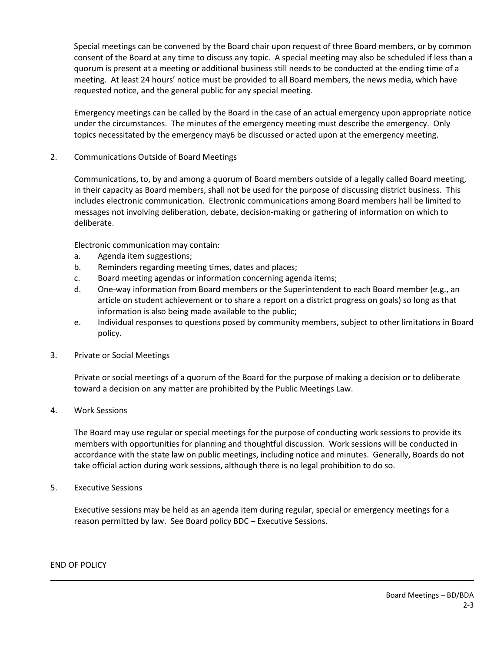Special meetings can be convened by the Board chair upon request of three Board members, or by common consent of the Board at any time to discuss any topic. A special meeting may also be scheduled if less than a quorum is present at a meeting or additional business still needs to be conducted at the ending time of a meeting. At least 24 hours' notice must be provided to all Board members, the news media, which have requested notice, and the general public for any special meeting.

Emergency meetings can be called by the Board in the case of an actual emergency upon appropriate notice under the circumstances. The minutes of the emergency meeting must describe the emergency. Only topics necessitated by the emergency may6 be discussed or acted upon at the emergency meeting.

2. Communications Outside of Board Meetings

Communications, to, by and among a quorum of Board members outside of a legally called Board meeting, in their capacity as Board members, shall not be used for the purpose of discussing district business. This includes electronic communication. Electronic communications among Board members hall be limited to messages not involving deliberation, debate, decision-making or gathering of information on which to deliberate.

Electronic communication may contain:

- a. Agenda item suggestions;
- b. Reminders regarding meeting times, dates and places;
- c. Board meeting agendas or information concerning agenda items;
- d. One-way information from Board members or the Superintendent to each Board member (e.g., an article on student achievement or to share a report on a district progress on goals) so long as that information is also being made available to the public;
- e. Individual responses to questions posed by community members, subject to other limitations in Board policy.
- 3. Private or Social Meetings

Private or social meetings of a quorum of the Board for the purpose of making a decision or to deliberate toward a decision on any matter are prohibited by the Public Meetings Law.

4. Work Sessions

The Board may use regular or special meetings for the purpose of conducting work sessions to provide its members with opportunities for planning and thoughtful discussion. Work sessions will be conducted in accordance with the state law on public meetings, including notice and minutes. Generally, Boards do not take official action during work sessions, although there is no legal prohibition to do so.

5. Executive Sessions

Executive sessions may be held as an agenda item during regular, special or emergency meetings for a reason permitted by law. See Board policy BDC – Executive Sessions.

END OF POLICY